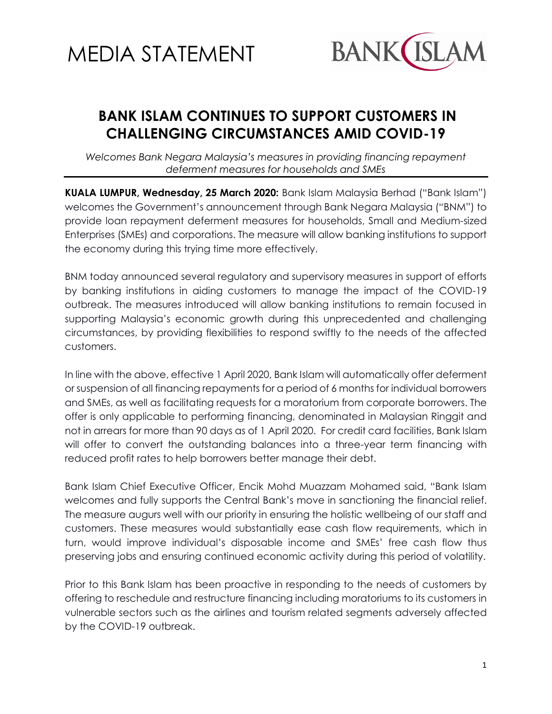



## **BANK ISLAM CONTINUES TO SUPPORT CUSTOMERS IN CHALLENGING CIRCUMSTANCES AMID COVID-19**

*Welcomes Bank Negara Malaysia's measures in providing financing repayment deferment measures for households and SMEs*

**KUALA LUMPUR, Wednesday, 25 March 2020:** Bank Islam Malaysia Berhad ("Bank Islam") welcomes the Government's announcement through Bank Negara Malaysia ("BNM") to provide loan repayment deferment measures for households, Small and Medium-sized Enterprises (SMEs) and corporations. The measure will allow banking institutions to support the economy during this trying time more effectively.

BNM today announced several regulatory and supervisory measures in support of efforts by banking institutions in aiding customers to manage the impact of the COVID-19 outbreak. The measures introduced will allow banking institutions to remain focused in supporting Malaysia's economic growth during this unprecedented and challenging circumstances, by providing flexibilities to respond swiftly to the needs of the affected customers.

In line with the above, effective 1 April 2020, Bank Islam will automatically offer deferment or suspension of all financing repayments for a period of 6 months for individual borrowers and SMEs, as well as facilitating requests for a moratorium from corporate borrowers. The offer is only applicable to performing financing, denominated in Malaysian Ringgit and not in arrears for more than 90 days as of 1 April 2020. For credit card facilities, Bank Islam will offer to convert the outstanding balances into a three-year term financing with reduced profit rates to help borrowers better manage their debt.

Bank Islam Chief Executive Officer, Encik Mohd Muazzam Mohamed said, "Bank Islam welcomes and fully supports the Central Bank's move in sanctioning the financial relief. The measure augurs well with our priority in ensuring the holistic wellbeing of our staff and customers. These measures would substantially ease cash flow requirements, which in turn, would improve individual's disposable income and SMEs' free cash flow thus preserving jobs and ensuring continued economic activity during this period of volatility.

Prior to this Bank Islam has been proactive in responding to the needs of customers by offering to reschedule and restructure financing including moratoriums to its customers in vulnerable sectors such as the airlines and tourism related segments adversely affected by the COVID-19 outbreak.